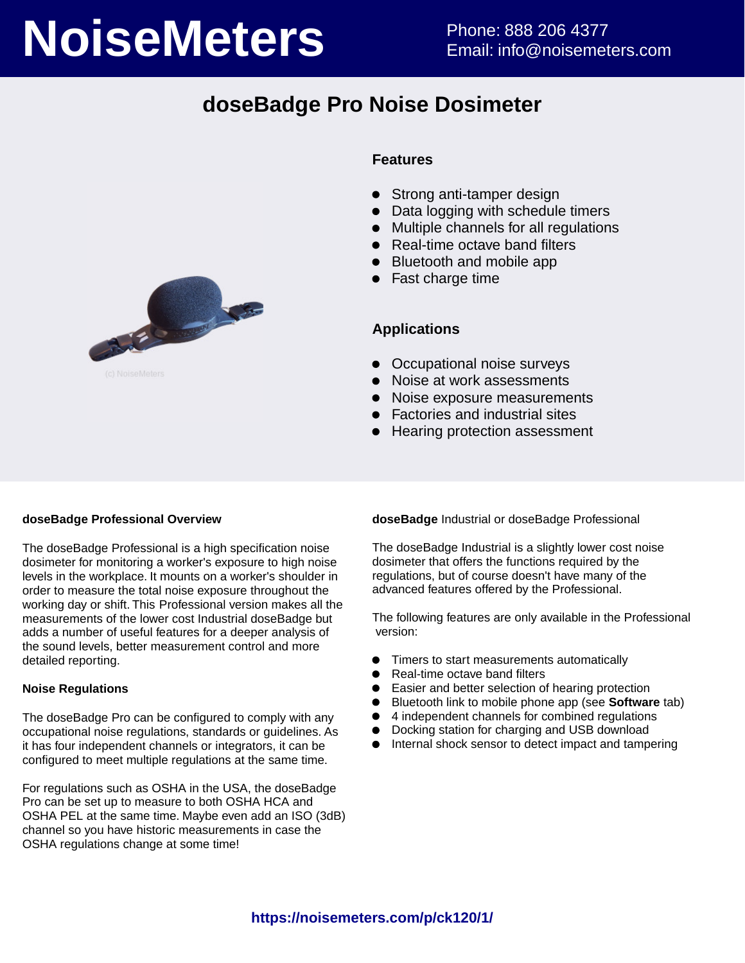# **NoiseMeters** Phone: 888 206 4377

# **doseBadge Pro Noise Dosimeter**



### **Features**

- Strong anti-tamper design
- Data logging with schedule timers
- Multiple channels for all regulations
- Real-time octave band filters
- Bluetooth and mobile app
- Fast charge time

### **Applications**

- Occupational noise surveys
- Noise at work assessments
- Noise exposure measurements
- Factories and industrial sites
- Hearing protection assessment

### **doseBadge Professional Overview**

The doseBadge Professional is a high specification noise dosimeter for monitoring a worker's exposure to high noise levels in the workplace. It mounts on a worker's shoulder in order to measure the total noise exposure throughout the working day or shift. This Professional version makes all the measurements of the lower cost Industrial doseBadge but adds a number of useful features for a deeper analysis of the sound levels, better measurement control and more detailed reporting.

### **Noise Regulations**

The doseBadge Pro can be configured to comply with any occupational noise regulations, standards or guidelines. As it has four independent channels or integrators, it can be configured to meet multiple regulations at the same time.

For regulations such as OSHA in the USA, the doseBadge Pro can be set up to measure to both OSHA HCA and OSHA PEL at the same time. Maybe even add an ISO (3dB) channel so you have historic measurements in case the OSHA regulations change at some time!

**doseBadge** Industrial or doseBadge Professional

The doseBadge Industrial is a slightly lower cost noise dosimeter that offers the functions required by the regulations, but of course doesn't have many of the advanced features offered by the Professional.

The following features are only available in the Professional version:

- Timers to start measurements automatically  $\bullet$
- $\bullet$ Real-time octave band filters
- $\bullet$ Easier and better selection of hearing protection
- Bluetooth link to mobile phone app (see **Software** tab)
- $\bullet$ 4 independent channels for combined regulations
- Docking station for charging and USB download
- Internal shock sensor to detect impact and tampering $\bullet$